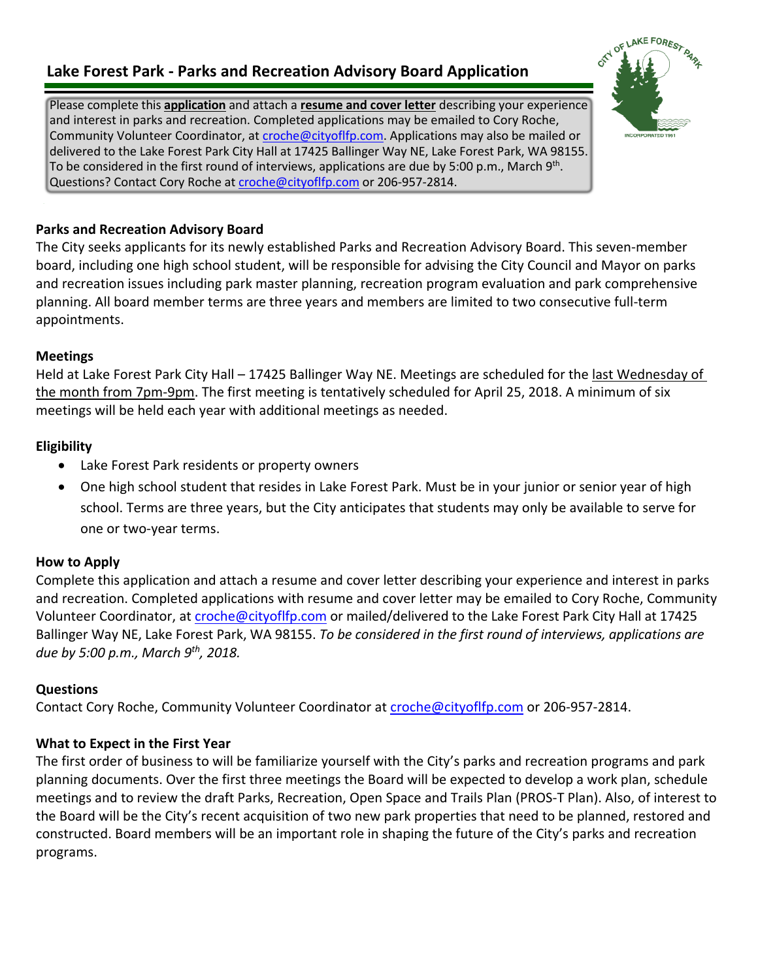## **Lake Forest Park - Parks and Recreation Advisory Board Application**

Please complete this **application** and attach a **resume and cover letter** describing your experience and interest in parks and recreation. Completed applications may be emailed to Cory Roche, Community Volunteer Coordinator, at [croche@cityoflfp.com.](mailto:croche@cityoflfp.com) Applications may also be mailed or delivered to the Lake Forest Park City Hall at 17425 Ballinger Way NE, Lake Forest Park, WA 98155. To be considered in the first round of interviews, applications are due by 5:00 p.m., March 9<sup>th</sup>. Questions? Contact Cory Roche at [croche@cityoflfp.com](mailto:croche@cityoflfp.com) or 206-957-2814.

#### **Parks and Recreation Advisory Board**

The City seeks applicants for its newly established Parks and Recreation Advisory Board. This seven-member board, including one high school student, will be responsible for advising the City Council and Mayor on parks and recreation issues including park master planning, recreation program evaluation and park comprehensive planning. All board member terms are three years and members are limited to two consecutive full-term appointments.

#### **Meetings**

Held at Lake Forest Park City Hall – 17425 Ballinger Way NE. Meetings are scheduled for the last Wednesday of the month from 7pm-9pm. The first meeting is tentatively scheduled for April 25, 2018. A minimum of six meetings will be held each year with additional meetings as needed.

### **Eligibility**

- Lake Forest Park residents or property owners
- One high school student that resides in Lake Forest Park. Must be in your junior or senior year of high school. Terms are three years, but the City anticipates that students may only be available to serve for one or two-year terms.

#### **How to Apply**

Complete this application and attach a resume and cover letter describing your experience and interest in parks and recreation. Completed applications with resume and cover letter may be emailed to Cory Roche, Community Volunteer Coordinator, at [croche@cityoflfp.com](mailto:croche@cityoflfp.com) or mailed/delivered to the Lake Forest Park City Hall at 17425 Ballinger Way NE, Lake Forest Park, WA 98155. *To be considered in the first round of interviews, applications are due by 5:00 p.m., March 9th, 2018.*

### **Questions**

Contact Cory Roche, Community Volunteer Coordinator at [croche@cityoflfp.com](mailto:croche@cityoflfp.com) or 206-957-2814.

#### **What to Expect in the First Year**

The first order of business to will be familiarize yourself with the City's parks and recreation programs and park planning documents. Over the first three meetings the Board will be expected to develop a work plan, schedule meetings and to review the draft Parks, Recreation, Open Space and Trails Plan (PROS-T Plan). Also, of interest to the Board will be the City's recent acquisition of two new park properties that need to be planned, restored and constructed. Board members will be an important role in shaping the future of the City's parks and recreation programs.

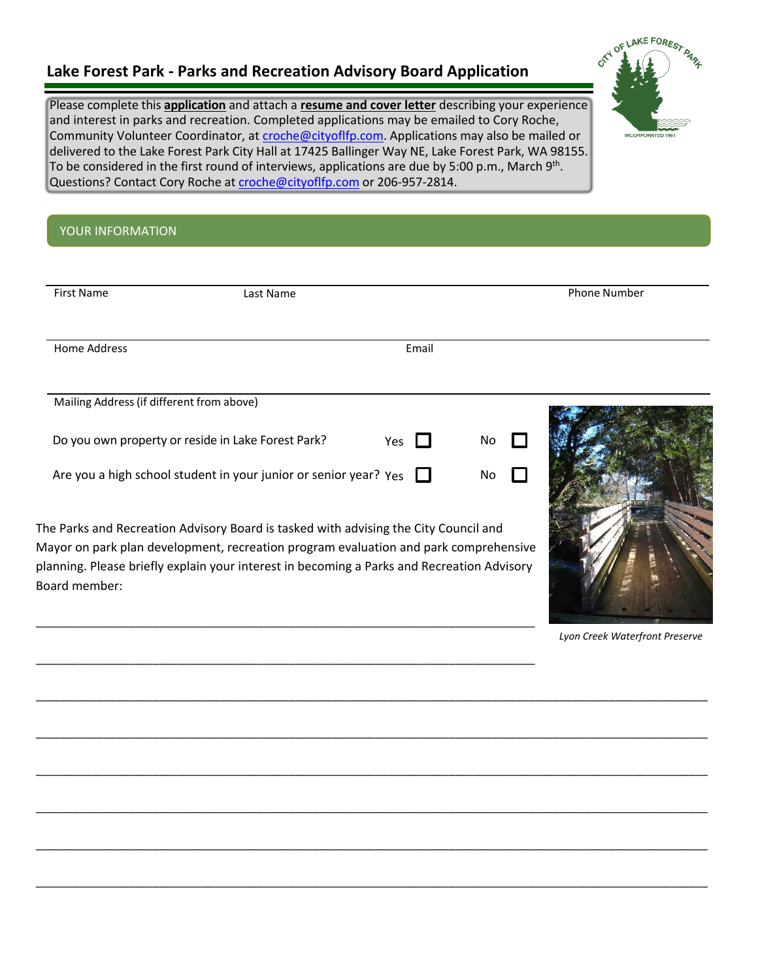## **Lake Forest Park - Parks and Recreation Advisory Board Application**

\_\_\_\_\_\_\_\_\_\_\_\_\_\_\_\_\_\_\_\_\_\_\_\_\_\_\_\_\_\_\_\_\_\_\_\_\_\_\_\_\_\_\_\_\_\_\_\_\_\_\_\_\_\_\_\_\_\_\_\_\_\_\_\_\_\_\_\_\_\_\_\_\_\_\_\_\_\_\_\_\_

Please complete this **application** and attach a **resume and cover letter** describing your experience and interest in parks and recreation. Completed applications may be emailed to Cory Roche, Community Volunteer Coordinator, at [croche@cityoflfp.com.](mailto:croche@cityoflfp.com) Applications may also be mailed or delivered to the Lake Forest Park City Hall at 17425 Ballinger Way NE, Lake Forest Park, WA 98155. To be considered in the first round of interviews, applications are due by 5:00 p.m., March 9<sup>th</sup>. Questions? Contact Cory Roche at [croche@cityoflfp.com](mailto:croche@cityoflfp.com) or 206-957-2814.

# **Provide Information**

| <b>First Name</b>                         | Last Name                                                                                                                                                                                                                                                                  |       |    | <b>Phone Number</b> |  |  |
|-------------------------------------------|----------------------------------------------------------------------------------------------------------------------------------------------------------------------------------------------------------------------------------------------------------------------------|-------|----|---------------------|--|--|
| Home Address                              |                                                                                                                                                                                                                                                                            | Email |    |                     |  |  |
| Mailing Address (if different from above) |                                                                                                                                                                                                                                                                            |       |    |                     |  |  |
|                                           | Do you own property or reside in Lake Forest Park?                                                                                                                                                                                                                         | Yes   | No |                     |  |  |
|                                           | Are you a high school student in your junior or senior year? $Y_{ES}$                                                                                                                                                                                                      |       | No |                     |  |  |
| Board member:                             | The Parks and Recreation Advisory Board is tasked with advising the City Council and<br>Mayor on park plan development, recreation program evaluation and park comprehensive<br>planning. Please briefly explain your interest in becoming a Parks and Recreation Advisory |       |    |                     |  |  |

\_\_\_\_\_\_\_\_\_\_\_\_\_\_\_\_\_\_\_\_\_\_\_\_\_\_\_\_\_\_\_\_\_\_\_\_\_\_\_\_\_\_\_\_\_\_\_\_\_\_\_\_\_\_\_\_\_\_\_\_\_\_\_\_\_\_\_\_\_\_\_\_\_\_\_\_\_\_\_\_\_\_\_\_\_\_\_\_\_\_\_\_\_\_\_\_\_\_\_\_\_\_\_\_\_\_\_\_\_

\_\_\_\_\_\_\_\_\_\_\_\_\_\_\_\_\_\_\_\_\_\_\_\_\_\_\_\_\_\_\_\_\_\_\_\_\_\_\_\_\_\_\_\_\_\_\_\_\_\_\_\_\_\_\_\_\_\_\_\_\_\_\_\_\_\_\_\_\_\_\_\_\_\_\_\_\_\_\_\_\_\_\_\_\_\_\_\_\_\_\_\_\_\_\_\_\_\_\_\_\_\_\_\_\_\_\_\_\_

\_\_\_\_\_\_\_\_\_\_\_\_\_\_\_\_\_\_\_\_\_\_\_\_\_\_\_\_\_\_\_\_\_\_\_\_\_\_\_\_\_\_\_\_\_\_\_\_\_\_\_\_\_\_\_\_\_\_\_\_\_\_\_\_\_\_\_\_\_\_\_\_\_\_\_\_\_\_\_\_\_\_\_\_\_\_\_\_\_\_\_\_\_\_\_\_\_\_\_\_\_\_\_\_\_\_\_\_\_

\_\_\_\_\_\_\_\_\_\_\_\_\_\_\_\_\_\_\_\_\_\_\_\_\_\_\_\_\_\_\_\_\_\_\_\_\_\_\_\_\_\_\_\_\_\_\_\_\_\_\_\_\_\_\_\_\_\_\_\_\_\_\_\_\_\_\_\_\_\_\_\_\_\_\_\_\_\_\_\_\_\_\_\_\_\_\_\_\_\_\_\_\_\_\_\_\_\_\_\_\_\_\_\_\_\_\_\_\_

\_\_\_\_\_\_\_\_\_\_\_\_\_\_\_\_\_\_\_\_\_\_\_\_\_\_\_\_\_\_\_\_\_\_\_\_\_\_\_\_\_\_\_\_\_\_\_\_\_\_\_\_\_\_\_\_\_\_\_\_\_\_\_\_\_\_\_\_\_\_\_\_\_\_\_\_\_\_\_\_\_\_\_\_\_\_\_\_\_\_\_\_\_\_\_\_\_\_\_\_\_\_\_\_\_\_\_\_\_

\_\_\_\_\_\_\_\_\_\_\_\_\_\_\_\_\_\_\_\_\_\_\_\_\_\_\_\_\_\_\_\_\_\_\_\_\_\_\_\_\_\_\_\_\_\_\_\_\_\_\_\_\_\_\_\_\_\_\_\_\_\_\_\_\_\_\_\_\_\_\_\_\_\_\_\_\_\_\_\_\_\_\_\_\_\_\_\_\_\_\_\_\_\_\_\_\_\_\_\_\_\_\_\_\_\_\_\_\_

*Lyon Creek Waterfront Preserve*